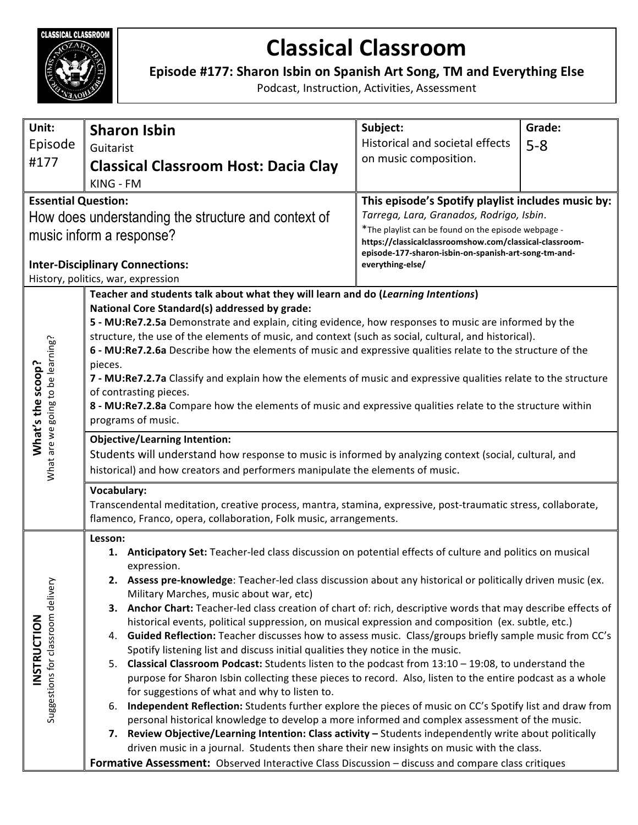

## **Classical Classroom**

Episode #177: Sharon Isbin on Spanish Art Song, TM and Everything Else

Podcast, Instruction, Activities, Assessment

| Unit:                                                  | <b>Sharon Isbin</b>                                                                                                                                                                                            | Subject:                                                                                                                                                                                                           | Grade:                                             |  |
|--------------------------------------------------------|----------------------------------------------------------------------------------------------------------------------------------------------------------------------------------------------------------------|--------------------------------------------------------------------------------------------------------------------------------------------------------------------------------------------------------------------|----------------------------------------------------|--|
| Episode                                                | Guitarist                                                                                                                                                                                                      | Historical and societal effects                                                                                                                                                                                    | $5 - 8$                                            |  |
| #177                                                   | <b>Classical Classroom Host: Dacia Clay</b>                                                                                                                                                                    | on music composition.                                                                                                                                                                                              |                                                    |  |
|                                                        | KING - FM                                                                                                                                                                                                      |                                                                                                                                                                                                                    |                                                    |  |
| <b>Essential Question:</b>                             |                                                                                                                                                                                                                |                                                                                                                                                                                                                    | This episode's Spotify playlist includes music by: |  |
| How does understanding the structure and context of    |                                                                                                                                                                                                                | Tarrega, Lara, Granados, Rodrigo, Isbin.<br>*The playlist can be found on the episode webpage -<br>https://classicalclassroomshow.com/classical-classroom-<br>episode-177-sharon-isbin-on-spanish-art-song-tm-and- |                                                    |  |
| music inform a response?                               |                                                                                                                                                                                                                |                                                                                                                                                                                                                    |                                                    |  |
| <b>Inter-Disciplinary Connections:</b>                 |                                                                                                                                                                                                                | everything-else/                                                                                                                                                                                                   |                                                    |  |
| History, politics, war, expression                     |                                                                                                                                                                                                                |                                                                                                                                                                                                                    |                                                    |  |
|                                                        | Teacher and students talk about what they will learn and do (Learning Intentions)<br>National Core Standard(s) addressed by grade:                                                                             |                                                                                                                                                                                                                    |                                                    |  |
| What are we going to be learning?<br>What's the scoop? | 5 - MU:Re7.2.5a Demonstrate and explain, citing evidence, how responses to music are informed by the                                                                                                           |                                                                                                                                                                                                                    |                                                    |  |
|                                                        | structure, the use of the elements of music, and context (such as social, cultural, and historical).                                                                                                           |                                                                                                                                                                                                                    |                                                    |  |
|                                                        | 6 - MU:Re7.2.6a Describe how the elements of music and expressive qualities relate to the structure of the                                                                                                     |                                                                                                                                                                                                                    |                                                    |  |
|                                                        | pieces.                                                                                                                                                                                                        |                                                                                                                                                                                                                    |                                                    |  |
|                                                        | 7 - MU:Re7.2.7a Classify and explain how the elements of music and expressive qualities relate to the structure<br>of contrasting pieces.                                                                      |                                                                                                                                                                                                                    |                                                    |  |
|                                                        | 8 - MU:Re7.2.8a Compare how the elements of music and expressive qualities relate to the structure within                                                                                                      |                                                                                                                                                                                                                    |                                                    |  |
|                                                        | programs of music.                                                                                                                                                                                             |                                                                                                                                                                                                                    |                                                    |  |
|                                                        | <b>Objective/Learning Intention:</b>                                                                                                                                                                           |                                                                                                                                                                                                                    |                                                    |  |
|                                                        | Students will understand how response to music is informed by analyzing context (social, cultural, and                                                                                                         |                                                                                                                                                                                                                    |                                                    |  |
|                                                        | historical) and how creators and performers manipulate the elements of music.                                                                                                                                  |                                                                                                                                                                                                                    |                                                    |  |
|                                                        | Vocabulary:                                                                                                                                                                                                    |                                                                                                                                                                                                                    |                                                    |  |
|                                                        | Transcendental meditation, creative process, mantra, stamina, expressive, post-traumatic stress, collaborate,                                                                                                  |                                                                                                                                                                                                                    |                                                    |  |
|                                                        | flamenco, Franco, opera, collaboration, Folk music, arrangements.                                                                                                                                              |                                                                                                                                                                                                                    |                                                    |  |
| Suggestions for classroom delivery<br>INSTRUCTION      | Lesson:<br>1. Anticipatory Set: Teacher-led class discussion on potential effects of culture and politics on musical                                                                                           |                                                                                                                                                                                                                    |                                                    |  |
|                                                        | expression.                                                                                                                                                                                                    |                                                                                                                                                                                                                    |                                                    |  |
|                                                        | 2. Assess pre-knowledge: Teacher-led class discussion about any historical or politically driven music (ex.                                                                                                    |                                                                                                                                                                                                                    |                                                    |  |
|                                                        | Military Marches, music about war, etc)                                                                                                                                                                        |                                                                                                                                                                                                                    |                                                    |  |
|                                                        | 3. Anchor Chart: Teacher-led class creation of chart of: rich, descriptive words that may describe effects of                                                                                                  |                                                                                                                                                                                                                    |                                                    |  |
|                                                        | historical events, political suppression, on musical expression and composition (ex. subtle, etc.)<br>4. Guided Reflection: Teacher discusses how to assess music. Class/groups briefly sample music from CC's |                                                                                                                                                                                                                    |                                                    |  |
|                                                        | Spotify listening list and discuss initial qualities they notice in the music.                                                                                                                                 |                                                                                                                                                                                                                    |                                                    |  |
|                                                        | 5. Classical Classroom Podcast: Students listen to the podcast from 13:10 - 19:08, to understand the                                                                                                           |                                                                                                                                                                                                                    |                                                    |  |
|                                                        | purpose for Sharon Isbin collecting these pieces to record. Also, listen to the entire podcast as a whole                                                                                                      |                                                                                                                                                                                                                    |                                                    |  |
|                                                        | for suggestions of what and why to listen to.<br>6. Independent Reflection: Students further explore the pieces of music on CC's Spotify list and draw from                                                    |                                                                                                                                                                                                                    |                                                    |  |
|                                                        | personal historical knowledge to develop a more informed and complex assessment of the music.                                                                                                                  |                                                                                                                                                                                                                    |                                                    |  |
|                                                        | 7. Review Objective/Learning Intention: Class activity - Students independently write about politically                                                                                                        |                                                                                                                                                                                                                    |                                                    |  |
|                                                        | driven music in a journal. Students then share their new insights on music with the class.                                                                                                                     |                                                                                                                                                                                                                    |                                                    |  |
|                                                        | Formative Assessment: Observed Interactive Class Discussion - discuss and compare class critiques                                                                                                              |                                                                                                                                                                                                                    |                                                    |  |